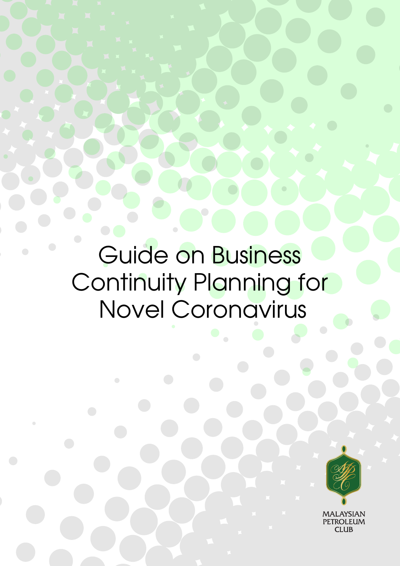Guide on Business Continuity Planning for Novel Coronavirus

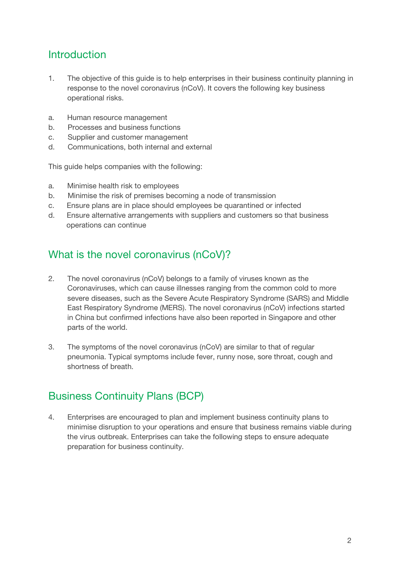## **Introduction**

- 1. The objective of this guide is to help enterprises in their business continuity planning in response to the novel coronavirus (nCoV). It covers the following key business operational risks.
- a. Human resource management
- b. Processes and business functions
- c. Supplier and customer management
- d. Communications, both internal and external

This guide helps companies with the following:

- a. Minimise health risk to employees
- b. Minimise the risk of premises becoming a node of transmission
- c. Ensure plans are in place should employees be quarantined or infected
- d. Ensure alternative arrangements with suppliers and customers so that business operations can continue

## What is the novel coronavirus (nCoV)?

- 2. The novel coronavirus (nCoV) belongs to a family of viruses known as the Coronaviruses, which can cause illnesses ranging from the common cold to more severe diseases, such as the Severe Acute Respiratory Syndrome (SARS) and Middle East Respiratory Syndrome (MERS). The novel coronavirus (nCoV) infections started in China but confirmed infections have also been reported in Singapore and other parts of the world.
- 3. The symptoms of the novel coronavirus (nCoV) are similar to that of regular pneumonia. Typical symptoms include fever, runny nose, sore throat, cough and shortness of breath.

## Business Continuity Plans (BCP)

4. Enterprises are encouraged to plan and implement business continuity plans to minimise disruption to your operations and ensure that business remains viable during the virus outbreak. Enterprises can take the following steps to ensure adequate preparation for business continuity.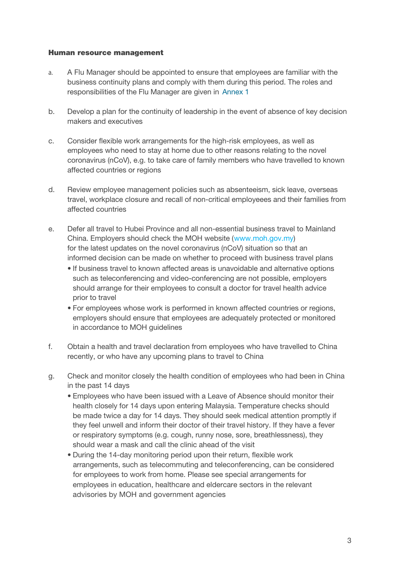#### Human resource management

- a. A Flu Manager should be appointed to ensure that employees are familiar with the business continuity plans and comply with them during this period. The roles and responsibilities of the Flu Manager are given in Annex 1
- b. Develop a plan for the continuity of leadership in the event of absence of key decision makers and executives
- c. Consider flexible work arrangements for the high-risk employees, as well as employees who need to stay at home due to other reasons relating to the novel coronavirus (nCoV), e.g. to take care of family members who have travelled to known affected countries or regions
- d. Review employee management policies such as absenteeism, sick leave, overseas travel, workplace closure and recall of non-critical employeees and their families from affected countries
- e. Defer all travel to Hubei Province and all non-essential business travel to Mainland China. Employers should check the MOH website (www.moh.gov.my) for the latest updates on the novel coronavirus (nCoV) situation so that an informed decision can be made on whether to proceed with business travel plans
	- If business travel to known affected areas is unavoidable and alternative options such as teleconferencing and video-conferencing are not possible, employers should arrange for their employees to consult a doctor for travel health advice prior to travel
	- For employees whose work is performed in known affected countries or regions, employers should ensure that employees are adequately protected or monitored in accordance to MOH guidelines
- f. Obtain a health and travel declaration from employees who have travelled to China recently, or who have any upcoming plans to travel to China
- g. Check and monitor closely the health condition of employees who had been in China in the past 14 days
	- Employees who have been issued with a Leave of Absence should monitor their health closely for 14 days upon entering Malaysia. Temperature checks should be made twice a day for 14 days. They should seek medical attention promptly if they feel unwell and inform their doctor of their travel history. If they have a fever or respiratory symptoms (e.g. cough, runny nose, sore, breathlessness), they should wear a mask and call the clinic ahead of the visit
	- During the 14-day monitoring period upon their return, flexible work arrangements, such as telecommuting and teleconferencing, can be considered for employees to work from home. Please see special arrangements for employees in education, healthcare and eldercare sectors in the relevant advisories by MOH and government agencies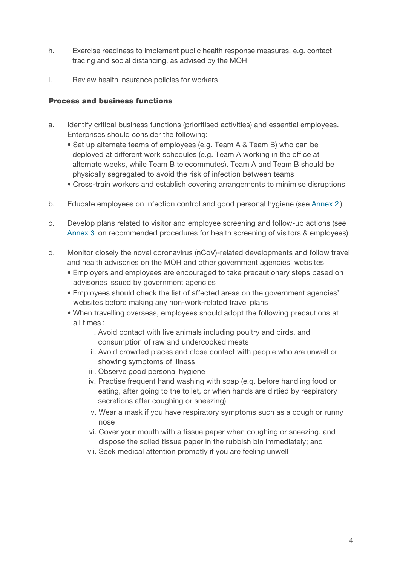- h. Exercise readiness to implement public health response measures, e.g. contact tracing and social distancing, as advised by the MOH
- i. Review health insurance policies for workers

## Process and business functions

- a. Identify critical business functions (prioritised activities) and essential employees. Enterprises should consider the following:
	- Set up alternate teams of employees (e.g. Team A & Team B) who can be deployed at different work schedules (e.g. Team A working in the office at alternate weeks, while Team B telecommutes). Team A and Team B should be physically segregated to avoid the risk of infection between teams
	- Cross-train workers and establish covering arrangements to minimise disruptions
- b. Educate employees on infection control and good personal hygiene (see Annex 2 )
- c. Develop plans related to visitor and employee screening and follow-up actions (see Annex 3 on recommended procedures for health screening of visitors & employees)
- d. Monitor closely the novel coronavirus (nCoV)-related developments and follow travel and health advisories on the MOH and other government agencies' websites
	- Employers and employees are encouraged to take precautionary steps based on advisories issued by government agencies
	- Employees should check the list of affected areas on the government agencies' websites before making any non-work-related travel plans
	- When travelling overseas, employees should adopt the following precautions at all times :
		- i. Avoid contact with live animals including poultry and birds, and consumption of raw and undercooked meats
		- ii. Avoid crowded places and close contact with people who are unwell or showing symptoms of illness
		- iii. Observe good personal hygiene
		- iv. Practise frequent hand washing with soap (e.g. before handling food or eating, after going to the toilet, or when hands are dirtied by respiratory secretions after coughing or sneezing)
		- v. Wear a mask if you have respiratory symptoms such as a cough or runny nose
		- vi. Cover your mouth with a tissue paper when coughing or sneezing, and dispose the soiled tissue paper in the rubbish bin immediately; and
		- vii. Seek medical attention promptly if you are feeling unwell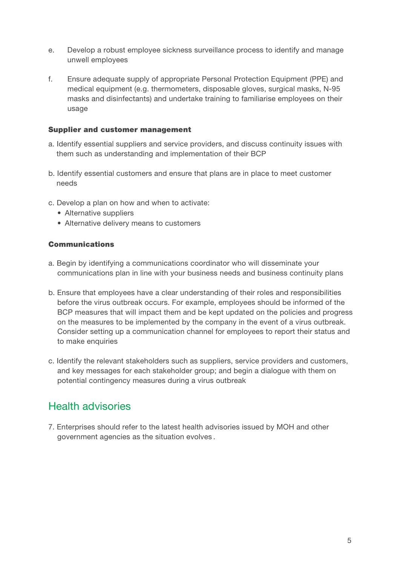- e. Develop a robust employee sickness surveillance process to identify and manage unwell employees
- f. Ensure adequate supply of appropriate Personal Protection Equipment (PPE) and medical equipment (e.g. thermometers, disposable gloves, surgical masks, N-95 masks and disinfectants) and undertake training to familiarise employees on their usage

### Supplier and customer management

- a. Identify essential suppliers and service providers, and discuss continuity issues with them such as understanding and implementation of their BCP
- b. Identify essential customers and ensure that plans are in place to meet customer needs
- c. Develop a plan on how and when to activate:
	- Alternative suppliers
	- Alternative delivery means to customers

### Communications

- a. Begin by identifying a communications coordinator who will disseminate your communications plan in line with your business needs and business continuity plans
- b. Ensure that employees have a clear understanding of their roles and responsibilities before the virus outbreak occurs. For example, employees should be informed of the BCP measures that will impact them and be kept updated on the policies and progress on the measures to be implemented by the company in the event of a virus outbreak. Consider setting up a communication channel for employees to report their status and to make enquiries
- c. Identify the relevant stakeholders such as suppliers, service providers and customers, and key messages for each stakeholder group; and begin a dialogue with them on potential contingency measures during a virus outbreak

## Health advisories

7. Enterprises should refer to the latest health advisories issued by MOH and other government agencies as the situation evolves .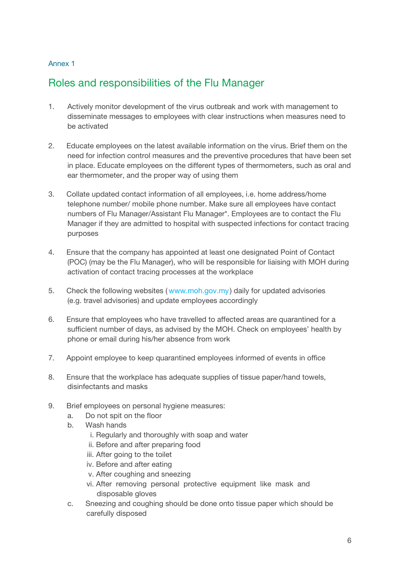## Annex 1

## Roles and responsibilities of the Flu Manager

- 1. Actively monitor development of the virus outbreak and work with management to disseminate messages to employees with clear instructions when measures need to be activated
- 2. Educate employees on the latest available information on the virus. Brief them on the need for infection control measures and the preventive procedures that have been set in place. Educate employees on the different types of thermometers, such as oral and ear thermometer, and the proper way of using them
- 3. Collate updated contact information of all employees, i.e. home address/home telephone number/ mobile phone number. Make sure all employees have contact numbers of Flu Manager/Assistant Flu Manager\*. Employees are to contact the Flu Manager if they are admitted to hospital with suspected infections for contact tracing purposes
- 4. Ensure that the company has appointed at least one designated Point of Contact (POC) (may be the Flu Manager), who will be responsible for liaising with MOH during activation of contact tracing processes at the workplace
- 5. Check the following websites ( www.moh.gov.my ) daily for updated advisories (e.g. travel advisories) and update employees accordingly
- 6. Ensure that employees who have travelled to affected areas are quarantined for a sufficient number of days, as advised by the MOH. Check on employees' health by phone or email during his/her absence from work
- 7. Appoint employee to keep quarantined employees informed of events in office
- 8. Ensure that the workplace has adequate supplies of tissue paper/hand towels, disinfectants and masks
- 9. Brief employees on personal hygiene measures:
	- a. Do not spit on the floor
	- b. Wash hands
		- i. Regularly and thoroughly with soap and water
		- ii. Before and after preparing food
		- iii. After going to the toilet
		- iv. Before and after eating
		- v. After coughing and sneezing
		- vi. After removing personal protective equipment like mask and disposable gloves
	- c. Sneezing and coughing should be done onto tissue paper which should be carefully disposed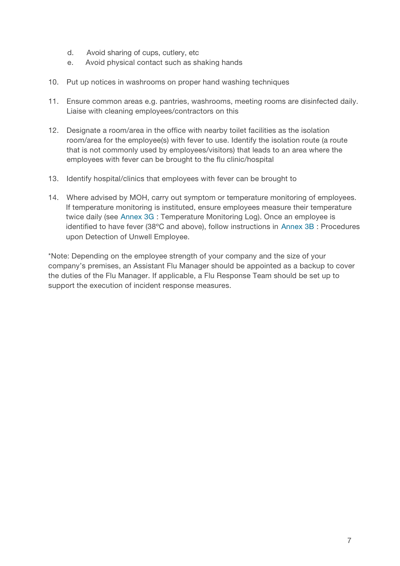- d. Avoid sharing of cups, cutlery, etc
- e. Avoid physical contact such as shaking hands
- 10. Put up notices in washrooms on proper hand washing techniques
- 11. Ensure common areas e.g. pantries, washrooms, meeting rooms are disinfected daily. Liaise with cleaning employees/contractors on this
- 12. Designate a room/area in the office with nearby toilet facilities as the isolation room/area for the employee(s) with fever to use. Identify the isolation route (a route that is not commonly used by employees/visitors) that leads to an area where the employees with fever can be brought to the flu clinic/hospital
- 13. Identify hospital/clinics that employees with fever can be brought to
- 14. Where advised by MOH, carry out symptom or temperature monitoring of employees. If temperature monitoring is instituted, ensure employees measure their temperature twice daily (see Annex 3G : Temperature Monitoring Log). Once an employee is identified to have fever (38ºC and above), follow instructions in Annex 3B : Procedures upon Detection of Unwell Employee.

\*Note: Depending on the employee strength of your company and the size of your company's premises, an Assistant Flu Manager should be appointed as a backup to cover the duties of the Flu Manager. If applicable, a Flu Response Team should be set up to support the execution of incident response measures.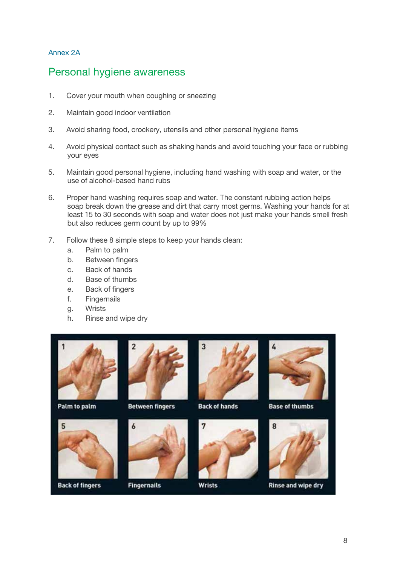## Annex 2A

## Personal hygiene awareness

- 1. Cover your mouth when coughing or sneezing
- 2. Maintain good indoor ventilation
- 3. Avoid sharing food, crockery, utensils and other personal hygiene items
- 4. Avoid physical contact such as shaking hands and avoid touching your face or rubbing your eyes
- 5. Maintain good personal hygiene, including hand washing with soap and water, or the use of alcohol-based hand rubs
- 6. Proper hand washing requires soap and water. The constant rubbing action helps soap break down the grease and dirt that carry most germs. Washing your hands for at least 15 to 30 seconds with soap and water does not just make your hands smell fresh but also reduces germ count by up to 99%

3

7. Follow these 8 simple steps to keep your hands clean:

 $\overline{2}$ 

- a. Palm to palm
- b. Between fingers
- c. Back of hands
- d. Base of thumbs
- e. Back of fingers
- f. Fingernails
- g. Wrists
- h. Rinse and wipe dry



Palm to palm

5





**Back of fingers** 



**Fingernails** 

**Back of hands** 

**Wrists** 



**Base of thumbs** 



**Rinse and wipe dry**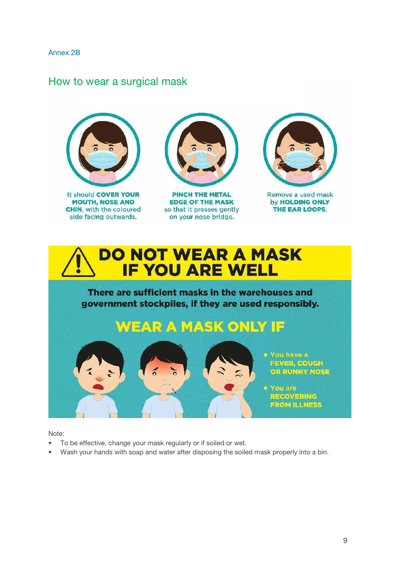#### Annex 2B

## How to wear a surgical mask



It should COVER YOUR **MOUTH, NOSE AND CHIN, with the coloured** side facing outwards.



**PINCH THE METAL EDGE OF THE MASK** so that it presses gently on your nose bridge.



Remove a used mask by HOLDING ONLY THE EAR LOOPS.



There are sufficient masks in the warehouses and government stockpiles, if they are used responsibly.

# **WEAR A MASK ONLY IF**

o You have a **FEVER, COUGH** OR RUNNY NOSE

o You are **RECOVERING FROM ILLNESS** 

Note:

• To be effective, change your mask regularly or if soiled or wet.

 $\leq$ 

• Wash your hands with soap and water after disposing the soiled mask properly into a bin.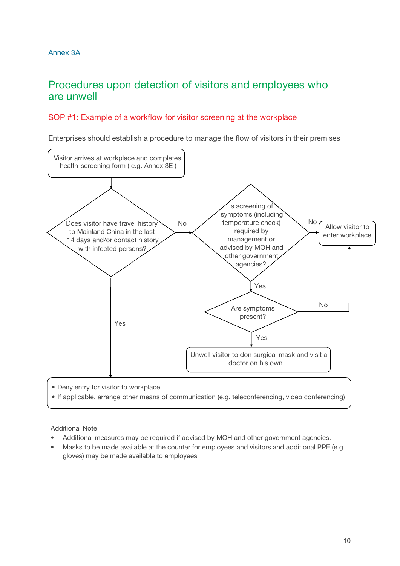## Procedures upon detection of visitors and employees who are unwell

## SOP #1: Example of a workflow for visitor screening at the workplace

Enterprises should establish a procedure to manage the flow of visitors in their premises



- Deny entry for visitor to workplace
- If applicable, arrange other means of communication (e.g. teleconferencing, video conferencing)

Additional Note:

- Additional measures may be required if advised by MOH and other government agencies.
- Masks to be made available at the counter for employees and visitors and additional PPE (e.g. gloves) may be made available to employees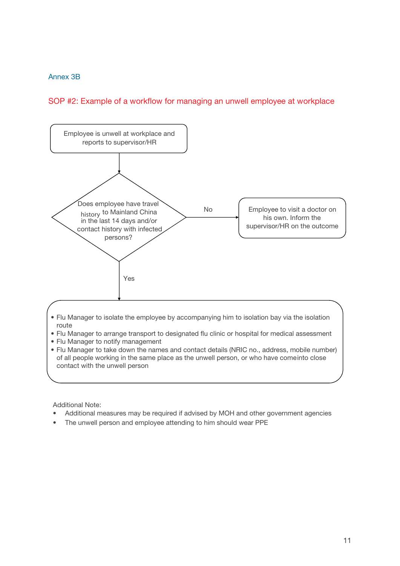### Annex 3B

## SOP #2: Example of a workflow for managing an unwell employee at workplace



- Flu Manager to isolate the employee by accompanying him to isolation bay via the isolation route
- Flu Manager to arrange transport to designated flu clinic or hospital for medical assessment
- Flu Manager to notify management
- Flu Manager to take down the names and contact details (NRIC no., address, mobile number) of all people working in the same place as the unwell person, or who have comeinto close contact with the unwell person

Additional Note:

- Additional measures may be required if advised by MOH and other government agencies
- The unwell person and employee attending to him should wear PPE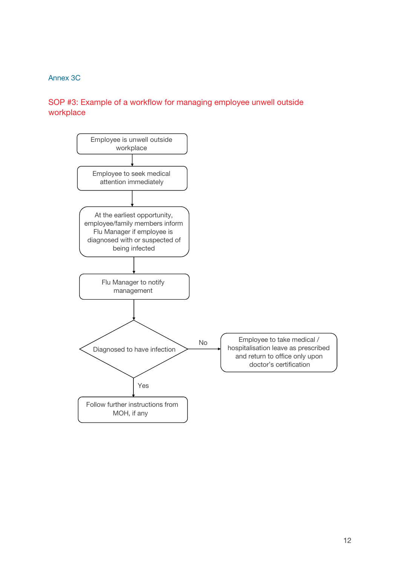## Annex 3C

## SOP #3: Example of a workflow for managing employee unwell outside workplace

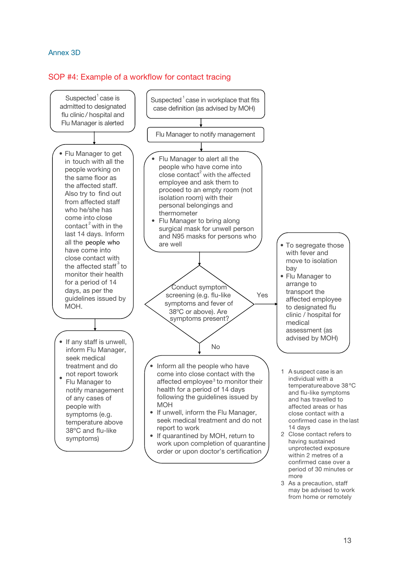### Annex 3D

### SOP #4: Example of a workflow for contact tracing



3 As a precaution, staff may be advised to work from home or remotely

more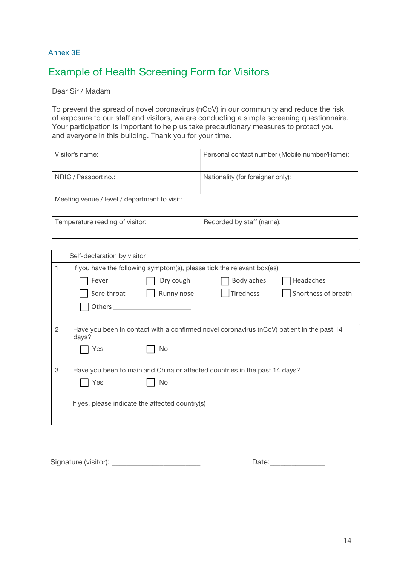### Annex 3E

## Example of Health Screening Form for Visitors

Dear Sir / Madam

To prevent the spread of novel coronavirus (nCoV) in our community and reduce the risk of exposure to our staff and visitors, we are conducting a simple screening questionnaire. Your participation is important to help us take precautionary measures to protect you and everyone in this building. Thank you for your time.

|                                              | Visitor's name:                                                                                    | Personal contact number (Mobile number/Home): |  |  |  |  |  |
|----------------------------------------------|----------------------------------------------------------------------------------------------------|-----------------------------------------------|--|--|--|--|--|
|                                              | NRIC / Passport no.:                                                                               | Nationality (for foreigner only):             |  |  |  |  |  |
| Meeting venue / level / department to visit: |                                                                                                    |                                               |  |  |  |  |  |
|                                              | Temperature reading of visitor:                                                                    | Recorded by staff (name):                     |  |  |  |  |  |
|                                              |                                                                                                    |                                               |  |  |  |  |  |
|                                              | Self-declaration by visitor                                                                        |                                               |  |  |  |  |  |
| 1                                            | If you have the following symptom(s), please tick the relevant box(es)                             |                                               |  |  |  |  |  |
|                                              | Fever<br>Dry cough                                                                                 | Body aches<br>Headaches                       |  |  |  |  |  |
|                                              | Sore throat<br>Runny nose                                                                          | Tiredness<br>Shortness of breath              |  |  |  |  |  |
|                                              | Others                                                                                             |                                               |  |  |  |  |  |
|                                              |                                                                                                    |                                               |  |  |  |  |  |
| $\overline{2}$                               | Have you been in contact with a confirmed novel coronavirus (nCoV) patient in the past 14<br>days? |                                               |  |  |  |  |  |
|                                              | <b>No</b><br>Yes                                                                                   |                                               |  |  |  |  |  |

3 Have you been to mainland China or affected countries in the past 14 days?

Yes No

If yes, please indicate the affected country(s)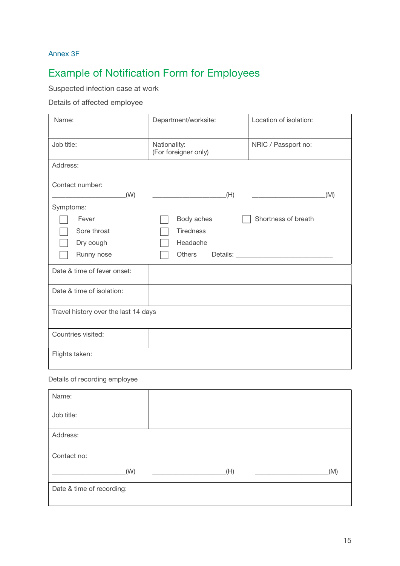## Annex 3F

# Example of Notification Form for Employees

## Suspected infection case at work

## Details of affected employee

| Name:                                | Department/worksite:                 | Location of isolation: |  |  |  |  |  |
|--------------------------------------|--------------------------------------|------------------------|--|--|--|--|--|
| Job title:                           | Nationality:<br>(For foreigner only) | NRIC / Passport no:    |  |  |  |  |  |
| Address:                             |                                      |                        |  |  |  |  |  |
| Contact number:                      |                                      |                        |  |  |  |  |  |
| (W)                                  | (H)                                  | (M)                    |  |  |  |  |  |
| Symptoms:                            |                                      |                        |  |  |  |  |  |
| Fever                                | Body aches                           | Shortness of breath    |  |  |  |  |  |
| Sore throat                          | <b>Tiredness</b>                     |                        |  |  |  |  |  |
| Dry cough                            | Headache                             |                        |  |  |  |  |  |
| Runny nose                           | Others                               |                        |  |  |  |  |  |
| Date & time of fever onset:          |                                      |                        |  |  |  |  |  |
| Date & time of isolation:            |                                      |                        |  |  |  |  |  |
| Travel history over the last 14 days |                                      |                        |  |  |  |  |  |
| Countries visited:                   |                                      |                        |  |  |  |  |  |
| Flights taken:                       |                                      |                        |  |  |  |  |  |

#### Details of recording employee

| Name:                     |     |     |  |  |  |  |
|---------------------------|-----|-----|--|--|--|--|
| Job title:                |     |     |  |  |  |  |
| Address:                  |     |     |  |  |  |  |
| Contact no:               |     |     |  |  |  |  |
| (W)                       | (H) | (M) |  |  |  |  |
| Date & time of recording: |     |     |  |  |  |  |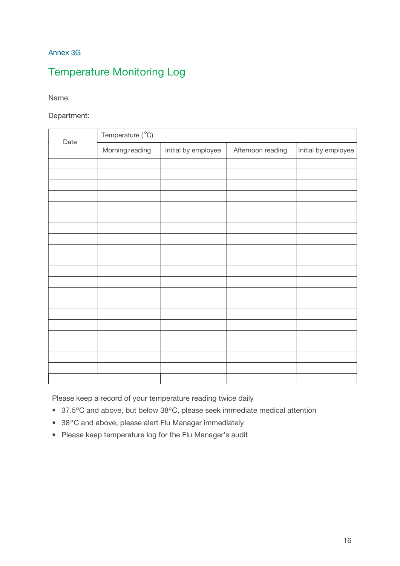## Annex 3G

## Temperature Monitoring Log

Name:

Department:

| Date | Temperature (°C) |                     |                   |                     |
|------|------------------|---------------------|-------------------|---------------------|
|      | Morning reading  | Initial by employee | Afternoon reading | Initial by employee |
|      |                  |                     |                   |                     |
|      |                  |                     |                   |                     |
|      |                  |                     |                   |                     |
|      |                  |                     |                   |                     |
|      |                  |                     |                   |                     |
|      |                  |                     |                   |                     |
|      |                  |                     |                   |                     |
|      |                  |                     |                   |                     |
|      |                  |                     |                   |                     |
|      |                  |                     |                   |                     |
|      |                  |                     |                   |                     |
|      |                  |                     |                   |                     |
|      |                  |                     |                   |                     |
|      |                  |                     |                   |                     |
|      |                  |                     |                   |                     |
|      |                  |                     |                   |                     |
|      |                  |                     |                   |                     |
|      |                  |                     |                   |                     |
|      |                  |                     |                   |                     |
|      |                  |                     |                   |                     |
|      |                  |                     |                   |                     |

Please keep a record of your temperature reading twice daily

- 37.5ºC and above, but below 38ºC, please seek immediate medical attention
- 38ºC and above, please alert Flu Manager immediately
- Please keep temperature log for the Flu Manager's audit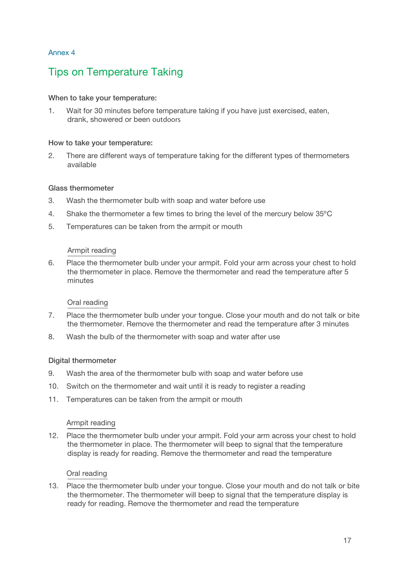### Annex 4

## Tips on Temperature Taking

## When to take your temperature:

1. Wait for 30 minutes before temperature taking if you have just exercised, eaten, drank, showered or been outdoors

### How to take your temperature:

2. There are different ways of temperature taking for the different types of thermometers available

### Glass thermometer

- 3. Wash the thermometer bulb with soap and water before use
- 4. Shake the thermometer a few times to bring the level of the mercury below 35ºC
- 5. Temperatures can be taken from the armpit or mouth

### Armpit reading

6. Place the thermometer bulb under your armpit. Fold your arm across your chest to hold the thermometer in place. Remove the thermometer and read the temperature after 5 minutes

## Oral reading

- 7. Place the thermometer bulb under your tongue. Close your mouth and do not talk or bite the thermometer. Remove the thermometer and read the temperature after 3 minutes
- 8. Wash the bulb of the thermometer with soap and water after use

### Digital thermometer

- 9. Wash the area of the thermometer bulb with soap and water before use
- 10. Switch on the thermometer and wait until it is ready to register a reading
- 11. Temperatures can be taken from the armpit or mouth

### Armpit reading

12. Place the thermometer bulb under your armpit. Fold your arm across your chest to hold the thermometer in place. The thermometer will beep to signal that the temperature display is ready for reading. Remove the thermometer and read the temperature

### Oral reading

13. Place the thermometer bulb under your tongue. Close your mouth and do not talk or bite the thermometer. The thermometer will beep to signal that the temperature display is ready for reading. Remove the thermometer and read the temperature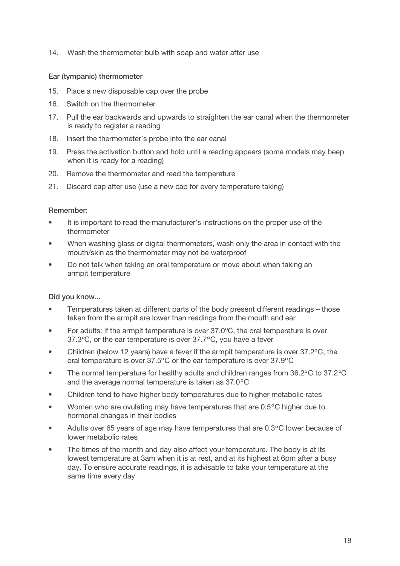14. Wash the thermometer bulb with soap and water after use

#### Ear (tympanic) thermometer

- 15. Place a new disposable cap over the probe
- 16. Switch on the thermometer
- 17. Pull the ear backwards and upwards to straighten the ear canal when the thermometer is ready to register a reading
- 18. Insert the thermometer's probe into the ear canal
- 19. Press the activation button and hold until a reading appears (some models may beep when it is ready for a reading)
- 20. Remove the thermometer and read the temperature
- 21. Discard cap after use (use a new cap for every temperature taking)

#### Remember:

- It is important to read the manufacturer's instructions on the proper use of the thermometer
- When washing glass or digital thermometers, wash only the area in contact with the mouth/skin as the thermometer may not be waterproof
- Do not talk when taking an oral temperature or move about when taking an armpit temperature

### Did you know...

- Temperatures taken at different parts of the body present different readings those taken from the armpit are lower than readings from the mouth and ear
- For adults: if the armpit temperature is over 37.0ºC, the oral temperature is over 37.3ºC, or the ear temperature is over 37.7ºC, you have a fever
- Children (below 12 years) have a fever if the armpit temperature is over 37.2ºC, the oral temperature is over 37.5ºC or the ear temperature is over 37.9ºC
- The normal temperature for healthy adults and children ranges from 36.2ºC to 37.2ºC and the average normal temperature is taken as 37.0ºC
- Children tend to have higher body temperatures due to higher metabolic rates
- Women who are ovulating may have temperatures that are 0.5 °C higher due to hormonal changes in their bodies
- Adults over 65 years of age may have temperatures that are 0.3ºC lower because of lower metabolic rates
- The times of the month and day also affect your temperature. The body is at its lowest temperature at 3am when it is at rest, and at its highest at 6pm after a busy day. To ensure accurate readings, it is advisable to take your temperature at the same time every day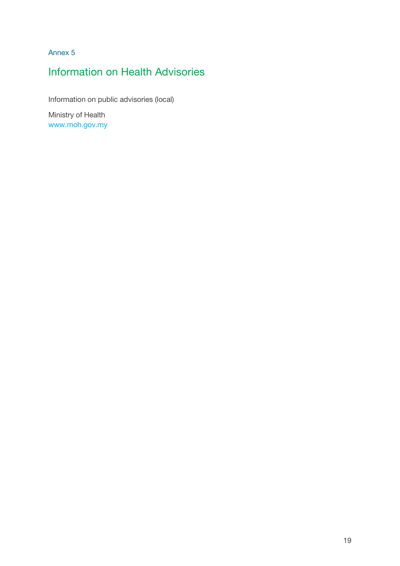Annex 5

## Information on Health Advisories

Information on public advisories (local)

Ministry of Health www.moh.gov.my